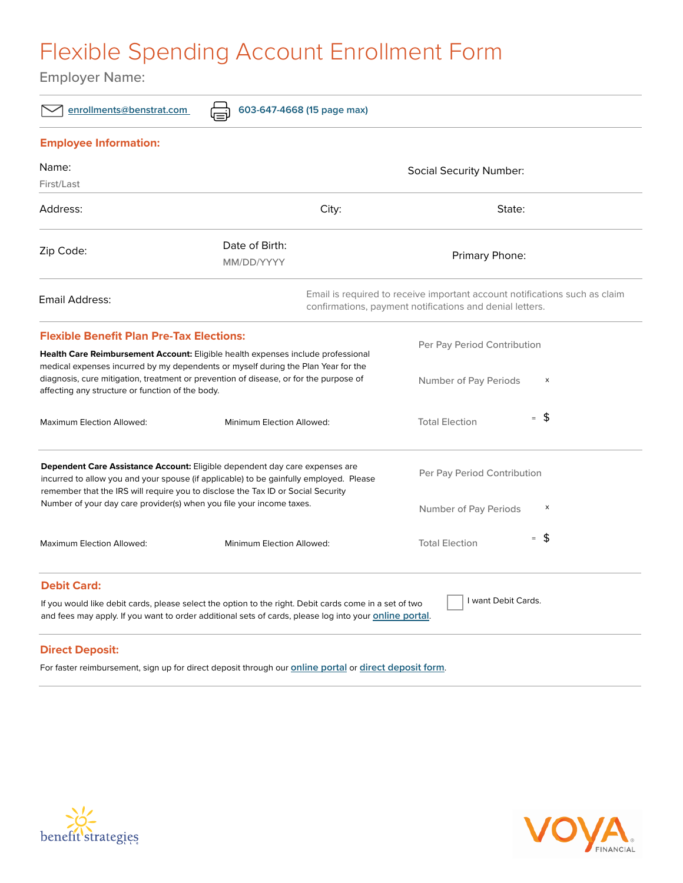## Flexible Spending Account Enrollment Form

Employer Name:

| enrollments@benstrat.com<br>603-647-4668 (15 page max)                                                                                                                                                                                                                                                                                   |                                                                                                                                                                                                                  |                                 |
|------------------------------------------------------------------------------------------------------------------------------------------------------------------------------------------------------------------------------------------------------------------------------------------------------------------------------------------|------------------------------------------------------------------------------------------------------------------------------------------------------------------------------------------------------------------|---------------------------------|
| <b>Employee Information:</b>                                                                                                                                                                                                                                                                                                             |                                                                                                                                                                                                                  |                                 |
| Name:                                                                                                                                                                                                                                                                                                                                    | <b>Social Security Number:</b>                                                                                                                                                                                   |                                 |
| First/Last                                                                                                                                                                                                                                                                                                                               |                                                                                                                                                                                                                  |                                 |
| Address:                                                                                                                                                                                                                                                                                                                                 | City:                                                                                                                                                                                                            | State:                          |
| Zip Code:                                                                                                                                                                                                                                                                                                                                | Date of Birth:<br>MM/DD/YYYY                                                                                                                                                                                     | Primary Phone:                  |
| Email Address:                                                                                                                                                                                                                                                                                                                           | Email is required to receive important account notifications such as claim<br>confirmations, payment notifications and denial letters.                                                                           |                                 |
| <b>Flexible Benefit Plan Pre-Tax Elections:</b>                                                                                                                                                                                                                                                                                          |                                                                                                                                                                                                                  | Per Pay Period Contribution     |
|                                                                                                                                                                                                                                                                                                                                          | Health Care Reimbursement Account: Eligible health expenses include professional<br>medical expenses incurred by my dependents or myself during the Plan Year for the                                            |                                 |
| diagnosis, cure mitigation, treatment or prevention of disease, or for the purpose of<br>affecting any structure or function of the body.                                                                                                                                                                                                |                                                                                                                                                                                                                  | Number of Pay Periods<br>X      |
| <b>Maximum Election Allowed:</b>                                                                                                                                                                                                                                                                                                         | Minimum Election Allowed:                                                                                                                                                                                        | $=$ \$<br><b>Total Election</b> |
| <b>Dependent Care Assistance Account:</b> Eligible dependent day care expenses are<br>incurred to allow you and your spouse (if applicable) to be gainfully employed. Please<br>remember that the IRS will require you to disclose the Tax ID or Social Security<br>Number of your day care provider(s) when you file your income taxes. |                                                                                                                                                                                                                  | Per Pay Period Contribution     |
|                                                                                                                                                                                                                                                                                                                                          |                                                                                                                                                                                                                  | Number of Pay Periods<br>х      |
| Maximum Election Allowed:                                                                                                                                                                                                                                                                                                                | Minimum Election Allowed:                                                                                                                                                                                        | $=$ \$<br><b>Total Election</b> |
| <b>Debit Card:</b>                                                                                                                                                                                                                                                                                                                       |                                                                                                                                                                                                                  |                                 |
|                                                                                                                                                                                                                                                                                                                                          | If you would like debit cards, please select the option to the right. Debit cards come in a set of two<br>and fees may apply. If you want to order additional sets of cards, please log into your online portal. | I want Debit Cards.             |
|                                                                                                                                                                                                                                                                                                                                          |                                                                                                                                                                                                                  |                                 |

## **Direct Deposit:**

For faster reimbursement, sign up for direct deposit through our **[online portal](http://benstrat.navigatorsuite.com/Login.aspx?ReturnUrl=%2f)** or **[direct deposit form](https://www.benstrat.com/downloads/Direct_Deposit_Authorization_Form.pdf)**.